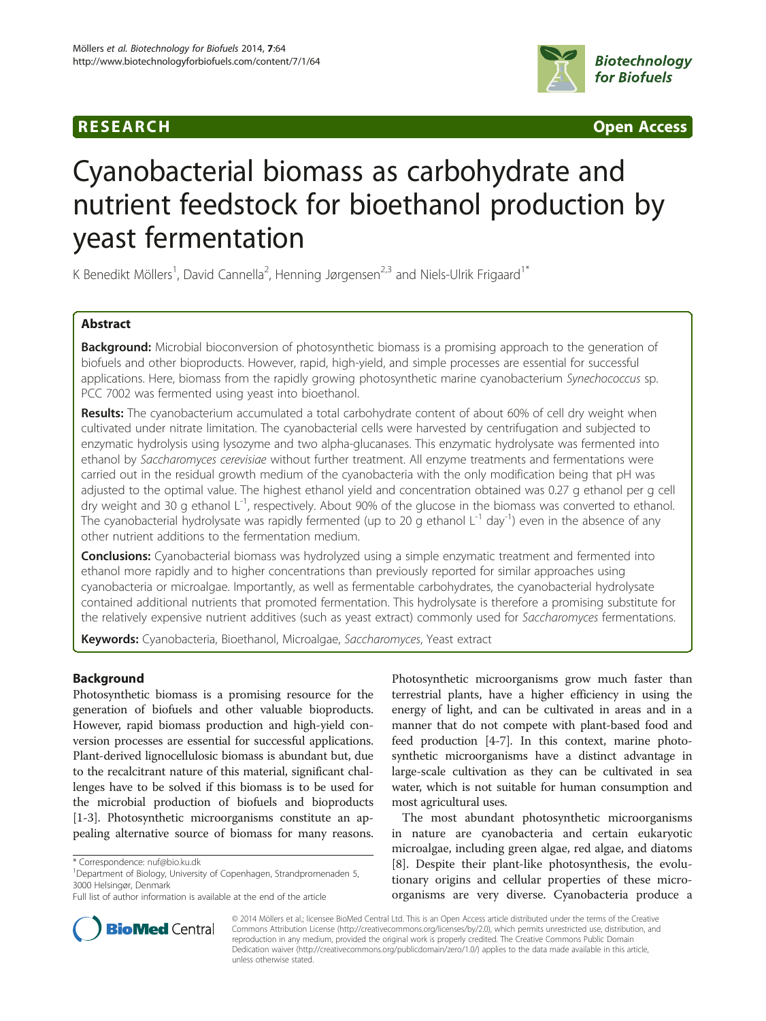



# Cyanobacterial biomass as carbohydrate and nutrient feedstock for bioethanol production by yeast fermentation

K Benedikt Möllers<sup>1</sup>, David Cannella<sup>2</sup>, Henning Jørgensen<sup>2,3</sup> and Niels-Ulrik Frigaard<sup>1\*</sup>

# Abstract

Background: Microbial bioconversion of photosynthetic biomass is a promising approach to the generation of biofuels and other bioproducts. However, rapid, high-yield, and simple processes are essential for successful applications. Here, biomass from the rapidly growing photosynthetic marine cyanobacterium Synechococcus sp. PCC 7002 was fermented using yeast into bioethanol.

Results: The cyanobacterium accumulated a total carbohydrate content of about 60% of cell dry weight when cultivated under nitrate limitation. The cyanobacterial cells were harvested by centrifugation and subjected to enzymatic hydrolysis using lysozyme and two alpha-glucanases. This enzymatic hydrolysate was fermented into ethanol by Saccharomyces cerevisiae without further treatment. All enzyme treatments and fermentations were carried out in the residual growth medium of the cyanobacteria with the only modification being that pH was adjusted to the optimal value. The highest ethanol yield and concentration obtained was 0.27 g ethanol per g cell dry weight and 30 g ethanol  $L^{-1}$ , respectively. About 90% of the glucose in the biomass was converted to ethanol. The cyanobacterial hydrolysate was rapidly fermented (up to 20 g ethanol  $L^{-1}$  day<sup>-1</sup>) even in the absence of any other nutrient additions to the fermentation medium.

**Conclusions:** Cyanobacterial biomass was hydrolyzed using a simple enzymatic treatment and fermented into ethanol more rapidly and to higher concentrations than previously reported for similar approaches using cyanobacteria or microalgae. Importantly, as well as fermentable carbohydrates, the cyanobacterial hydrolysate contained additional nutrients that promoted fermentation. This hydrolysate is therefore a promising substitute for the relatively expensive nutrient additives (such as yeast extract) commonly used for Saccharomyces fermentations.

Keywords: Cyanobacteria, Bioethanol, Microalgae, Saccharomyces, Yeast extract

# Background

Photosynthetic biomass is a promising resource for the generation of biofuels and other valuable bioproducts. However, rapid biomass production and high-yield conversion processes are essential for successful applications. Plant-derived lignocellulosic biomass is abundant but, due to the recalcitrant nature of this material, significant challenges have to be solved if this biomass is to be used for the microbial production of biofuels and bioproducts [[1-3\]](#page-9-0). Photosynthetic microorganisms constitute an appealing alternative source of biomass for many reasons.

Photosynthetic microorganisms grow much faster than terrestrial plants, have a higher efficiency in using the energy of light, and can be cultivated in areas and in a manner that do not compete with plant-based food and feed production [\[4](#page-9-0)-[7\]](#page-9-0). In this context, marine photosynthetic microorganisms have a distinct advantage in large-scale cultivation as they can be cultivated in sea water, which is not suitable for human consumption and most agricultural uses.

The most abundant photosynthetic microorganisms in nature are cyanobacteria and certain eukaryotic microalgae, including green algae, red algae, and diatoms [[8\]](#page-9-0). Despite their plant-like photosynthesis, the evolutionary origins and cellular properties of these microorganisms are very diverse. Cyanobacteria produce a



© 2014 Möllers et al.; licensee BioMed Central Ltd. This is an Open Access article distributed under the terms of the Creative Commons Attribution License [\(http://creativecommons.org/licenses/by/2.0\)](http://creativecommons.org/licenses/by/2.0), which permits unrestricted use, distribution, and reproduction in any medium, provided the original work is properly credited. The Creative Commons Public Domain Dedication waiver [\(http://creativecommons.org/publicdomain/zero/1.0/](http://creativecommons.org/publicdomain/zero/1.0/)) applies to the data made available in this article, unless otherwise stated.

<sup>\*</sup> Correspondence: [nuf@bio.ku.dk](mailto:nuf@bio.ku.dk) <sup>1</sup>

<sup>&</sup>lt;sup>1</sup>Department of Biology, University of Copenhagen, Strandpromenaden 5, 3000 Helsingør, Denmark

Full list of author information is available at the end of the article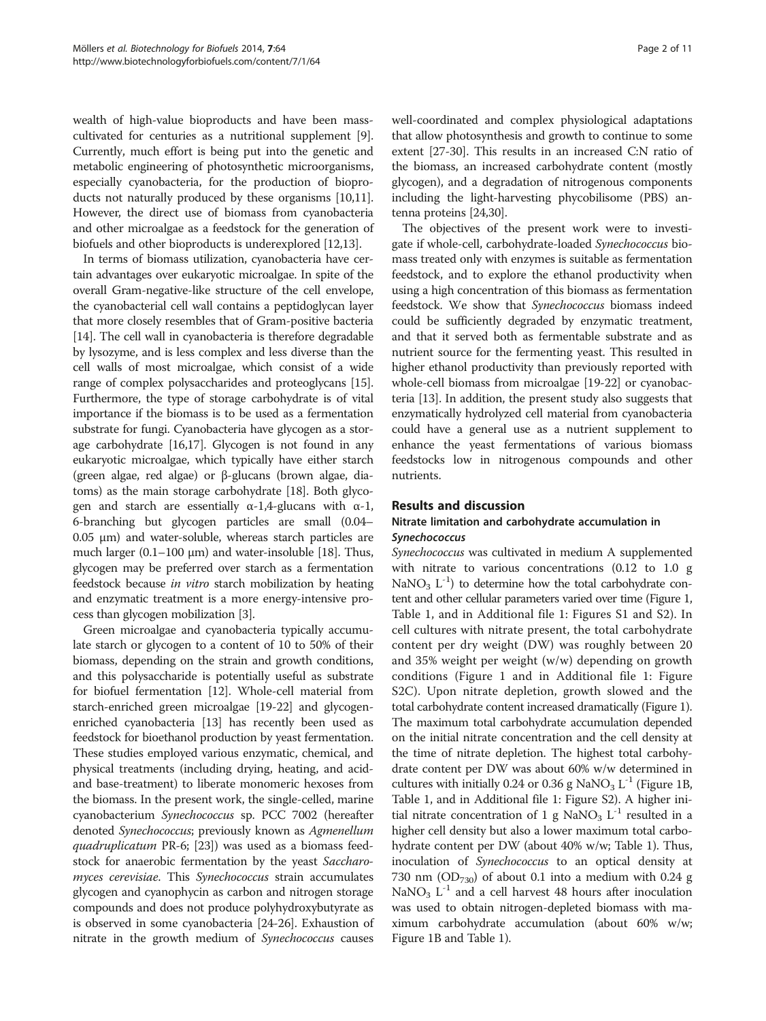wealth of high-value bioproducts and have been masscultivated for centuries as a nutritional supplement [[9](#page-9-0)]. Currently, much effort is being put into the genetic and metabolic engineering of photosynthetic microorganisms, especially cyanobacteria, for the production of bioproducts not naturally produced by these organisms [\[10,11](#page-9-0)]. However, the direct use of biomass from cyanobacteria and other microalgae as a feedstock for the generation of biofuels and other bioproducts is underexplored [[12](#page-9-0),[13](#page-9-0)].

In terms of biomass utilization, cyanobacteria have certain advantages over eukaryotic microalgae. In spite of the overall Gram-negative-like structure of the cell envelope, the cyanobacterial cell wall contains a peptidoglycan layer that more closely resembles that of Gram-positive bacteria [[14](#page-9-0)]. The cell wall in cyanobacteria is therefore degradable by lysozyme, and is less complex and less diverse than the cell walls of most microalgae, which consist of a wide range of complex polysaccharides and proteoglycans [[15](#page-9-0)]. Furthermore, the type of storage carbohydrate is of vital importance if the biomass is to be used as a fermentation substrate for fungi. Cyanobacteria have glycogen as a storage carbohydrate [\[16,17](#page-9-0)]. Glycogen is not found in any eukaryotic microalgae, which typically have either starch (green algae, red algae) or β-glucans (brown algae, diatoms) as the main storage carbohydrate [\[18](#page-9-0)]. Both glycogen and starch are essentially  $\alpha$ -1,4-glucans with  $\alpha$ -1, 6-branching but glycogen particles are small (0.04– 0.05 μm) and water-soluble, whereas starch particles are much larger  $(0.1-100 \mu m)$  and water-insoluble [\[18\]](#page-9-0). Thus, glycogen may be preferred over starch as a fermentation feedstock because in vitro starch mobilization by heating and enzymatic treatment is a more energy-intensive process than glycogen mobilization [\[3](#page-9-0)].

Green microalgae and cyanobacteria typically accumulate starch or glycogen to a content of 10 to 50% of their biomass, depending on the strain and growth conditions, and this polysaccharide is potentially useful as substrate for biofuel fermentation [\[12\]](#page-9-0). Whole-cell material from starch-enriched green microalgae [\[19-22\]](#page-9-0) and glycogenenriched cyanobacteria [\[13\]](#page-9-0) has recently been used as feedstock for bioethanol production by yeast fermentation. These studies employed various enzymatic, chemical, and physical treatments (including drying, heating, and acidand base-treatment) to liberate monomeric hexoses from the biomass. In the present work, the single-celled, marine cyanobacterium Synechococcus sp. PCC 7002 (hereafter denoted Synechococcus; previously known as Agmenellum quadruplicatum PR-6; [\[23\]](#page-9-0)) was used as a biomass feedstock for anaerobic fermentation by the yeast Saccharomyces cerevisiae. This Synechococcus strain accumulates glycogen and cyanophycin as carbon and nitrogen storage compounds and does not produce polyhydroxybutyrate as is observed in some cyanobacteria [\[24-26\]](#page-9-0). Exhaustion of nitrate in the growth medium of Synechococcus causes well-coordinated and complex physiological adaptations that allow photosynthesis and growth to continue to some extent [[27](#page-9-0)-[30](#page-9-0)]. This results in an increased C:N ratio of the biomass, an increased carbohydrate content (mostly glycogen), and a degradation of nitrogenous components including the light-harvesting phycobilisome (PBS) antenna proteins [\[24,30](#page-9-0)].

The objectives of the present work were to investigate if whole-cell, carbohydrate-loaded Synechococcus biomass treated only with enzymes is suitable as fermentation feedstock, and to explore the ethanol productivity when using a high concentration of this biomass as fermentation feedstock. We show that Synechococcus biomass indeed could be sufficiently degraded by enzymatic treatment, and that it served both as fermentable substrate and as nutrient source for the fermenting yeast. This resulted in higher ethanol productivity than previously reported with whole-cell biomass from microalgae [\[19-22\]](#page-9-0) or cyanobacteria [[13](#page-9-0)]. In addition, the present study also suggests that enzymatically hydrolyzed cell material from cyanobacteria could have a general use as a nutrient supplement to enhance the yeast fermentations of various biomass feedstocks low in nitrogenous compounds and other nutrients.

# Results and discussion

# Nitrate limitation and carbohydrate accumulation in Synechococcus

Synechococcus was cultivated in medium A supplemented with nitrate to various concentrations (0.12 to 1.0 g NaNO<sub>3</sub>  $L^{-1}$ ) to determine how the total carbohydrate content and other cellular parameters varied over time (Figure [1](#page-2-0), Table [1,](#page-2-0) and in Additional file [1:](#page-9-0) Figures S1 and S2). In cell cultures with nitrate present, the total carbohydrate content per dry weight (DW) was roughly between 20 and 35% weight per weight (w/w) depending on growth conditions (Figure [1](#page-2-0) and in Additional file [1:](#page-9-0) Figure S2C). Upon nitrate depletion, growth slowed and the total carbohydrate content increased dramatically (Figure [1](#page-2-0)). The maximum total carbohydrate accumulation depended on the initial nitrate concentration and the cell density at the time of nitrate depletion. The highest total carbohydrate content per DW was about 60% w/w determined in cultures with initially 0.24 or 0.36 g NaNO<sub>3</sub> L<sup>-1</sup> (Figure [1B](#page-2-0), Table [1](#page-2-0), and in Additional file [1](#page-9-0): Figure S2). A higher initial nitrate concentration of 1 g NaNO<sub>3</sub> L<sup>-1</sup> resulted in a higher cell density but also a lower maximum total carbohydrate content per DW (about 40% w/w; Table [1\)](#page-2-0). Thus, inoculation of Synechococcus to an optical density at 730 nm ( $OD_{730}$ ) of about 0.1 into a medium with 0.24 g NaNO<sub>3</sub>  $L^{-1}$  and a cell harvest 48 hours after inoculation was used to obtain nitrogen-depleted biomass with maximum carbohydrate accumulation (about 60% w/w; Figure [1](#page-2-0)B and Table [1](#page-2-0)).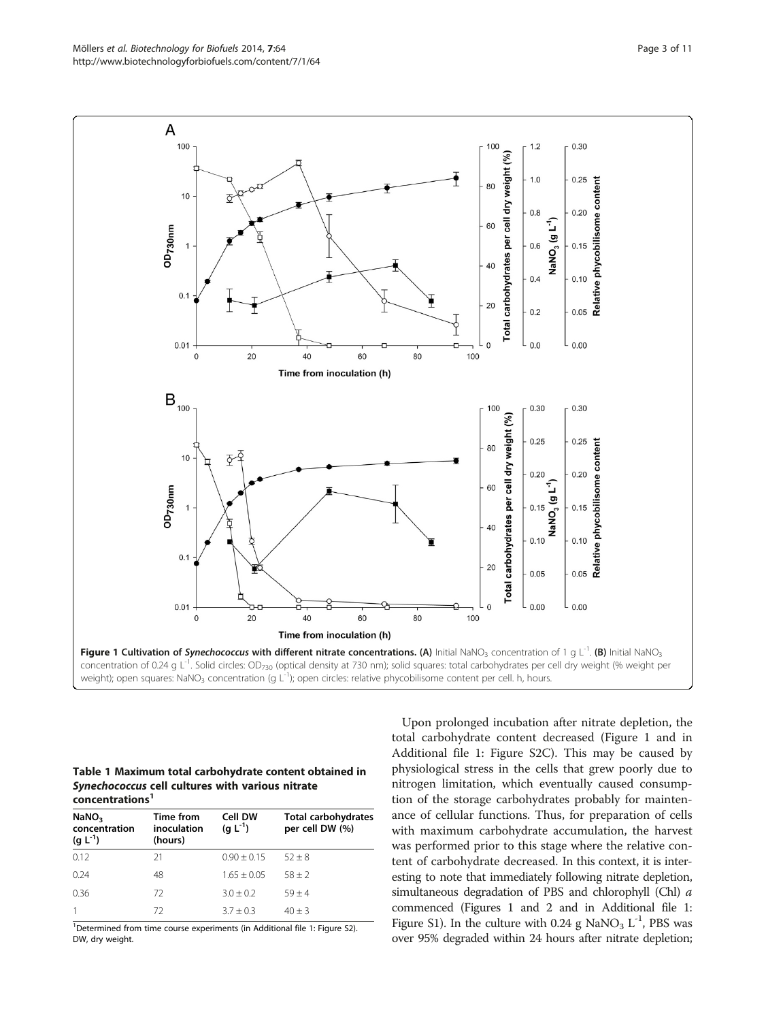<span id="page-2-0"></span>

Table 1 Maximum total carbohydrate content obtained in Synechococcus cell cultures with various nitrate concentrations<sup>1</sup>

| NaNO <sub>3</sub><br>concentration<br>$(g L^{-1})$ | Time from<br>inoculation<br>(hours) | Cell DW<br>$(q L^{-1})$ | <b>Total carbohydrates</b><br>per cell DW (%) |
|----------------------------------------------------|-------------------------------------|-------------------------|-----------------------------------------------|
| 0.12                                               | 21                                  | $0.90 + 0.15$           | $52 + 8$                                      |
| 0.24                                               | 48                                  | $1.65 + 0.05$           | $58 + 2$                                      |
| 0.36                                               | 72                                  | $3.0 + 0.2$             | $59 + 4$                                      |
|                                                    | 72                                  | $3.7 + 0.3$             | $40 + 3$                                      |

<sup>1</sup>Determined from time course experiments (in Additional file [1:](#page-9-0) Figure S2). DW, dry weight.

Upon prolonged incubation after nitrate depletion, the total carbohydrate content decreased (Figure 1 and in Additional file [1](#page-9-0): Figure S2C). This may be caused by physiological stress in the cells that grew poorly due to nitrogen limitation, which eventually caused consumption of the storage carbohydrates probably for maintenance of cellular functions. Thus, for preparation of cells with maximum carbohydrate accumulation, the harvest was performed prior to this stage where the relative content of carbohydrate decreased. In this context, it is interesting to note that immediately following nitrate depletion, simultaneous degradation of PBS and chlorophyll (Chl) a commenced (Figures 1 and [2](#page-3-0) and in Additional file [1](#page-9-0): Figure S1). In the culture with 0.24 g NaNO<sub>3</sub>  $L^{-1}$ , PBS was over 95% degraded within 24 hours after nitrate depletion;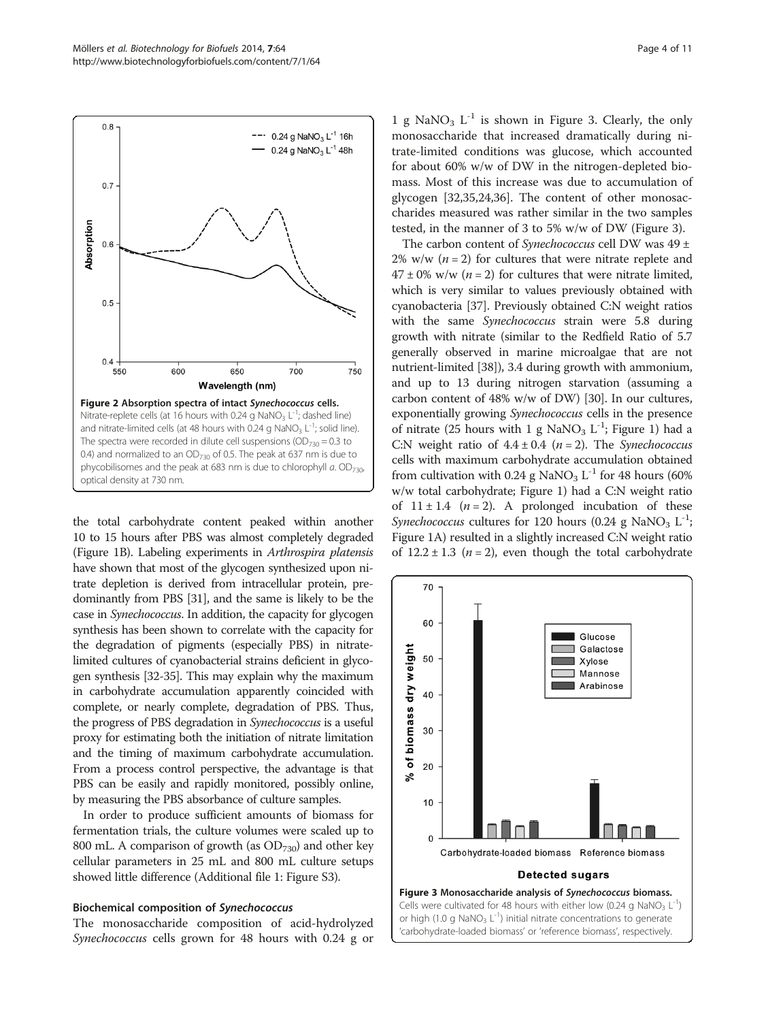<span id="page-3-0"></span>

the total carbohydrate content peaked within another 10 to 15 hours after PBS was almost completely degraded (Figure [1B](#page-2-0)). Labeling experiments in Arthrospira platensis have shown that most of the glycogen synthesized upon nitrate depletion is derived from intracellular protein, predominantly from PBS [\[31\]](#page-9-0), and the same is likely to be the case in Synechococcus. In addition, the capacity for glycogen synthesis has been shown to correlate with the capacity for the degradation of pigments (especially PBS) in nitratelimited cultures of cyanobacterial strains deficient in glycogen synthesis [[32](#page-9-0)[-35\]](#page-10-0). This may explain why the maximum in carbohydrate accumulation apparently coincided with complete, or nearly complete, degradation of PBS. Thus, the progress of PBS degradation in Synechococcus is a useful proxy for estimating both the initiation of nitrate limitation and the timing of maximum carbohydrate accumulation. From a process control perspective, the advantage is that PBS can be easily and rapidly monitored, possibly online, by measuring the PBS absorbance of culture samples.

In order to produce sufficient amounts of biomass for fermentation trials, the culture volumes were scaled up to 800 mL. A comparison of growth (as  $OD_{730}$ ) and other key cellular parameters in 25 mL and 800 mL culture setups showed little difference (Additional file [1:](#page-9-0) Figure S3).

#### Biochemical composition of Synechococcus

The monosaccharide composition of acid-hydrolyzed Synechococcus cells grown for 48 hours with 0.24 g or

1 g NaNO<sub>3</sub>  $L^{-1}$  is shown in Figure 3. Clearly, the only monosaccharide that increased dramatically during nitrate-limited conditions was glucose, which accounted for about 60% w/w of DW in the nitrogen-depleted biomass. Most of this increase was due to accumulation of glycogen [\[32,](#page-9-0)[35,](#page-10-0)[24,](#page-9-0)[36\]](#page-10-0). The content of other monosaccharides measured was rather similar in the two samples tested, in the manner of 3 to 5% w/w of DW (Figure 3).

The carbon content of Synechococcus cell DW was 49 ± 2% w/w ( $n = 2$ ) for cultures that were nitrate replete and  $47 \pm 0\%$  w/w (*n* = 2) for cultures that were nitrate limited, which is very similar to values previously obtained with cyanobacteria [\[37\]](#page-10-0). Previously obtained C:N weight ratios with the same Synechococcus strain were 5.8 during growth with nitrate (similar to the Redfield Ratio of 5.7 generally observed in marine microalgae that are not nutrient-limited [\[38\]](#page-10-0)), 3.4 during growth with ammonium, and up to 13 during nitrogen starvation (assuming a carbon content of 48% w/w of DW) [[30](#page-9-0)]. In our cultures, exponentially growing Synechococcus cells in the presence of nitrate (25 hours with 1 g NaNO<sub>3</sub> L<sup>-1</sup>; Figure [1\)](#page-2-0) had a C:N weight ratio of  $4.4 \pm 0.4$  ( $n = 2$ ). The Synechococcus cells with maximum carbohydrate accumulation obtained from cultivation with 0.24 g NaNO<sub>3</sub> L<sup>-1</sup> for 48 hours (60%) w/w total carbohydrate; Figure [1](#page-2-0)) had a C:N weight ratio of  $11 \pm 1.4$  (*n* = 2). A prolonged incubation of these Synechococcus cultures for 120 hours (0.24 g NaNO<sub>3</sub> L<sup>-1</sup>; Figure [1](#page-2-0)A) resulted in a slightly increased C:N weight ratio of  $12.2 \pm 1.3$  ( $n = 2$ ), even though the total carbohydrate

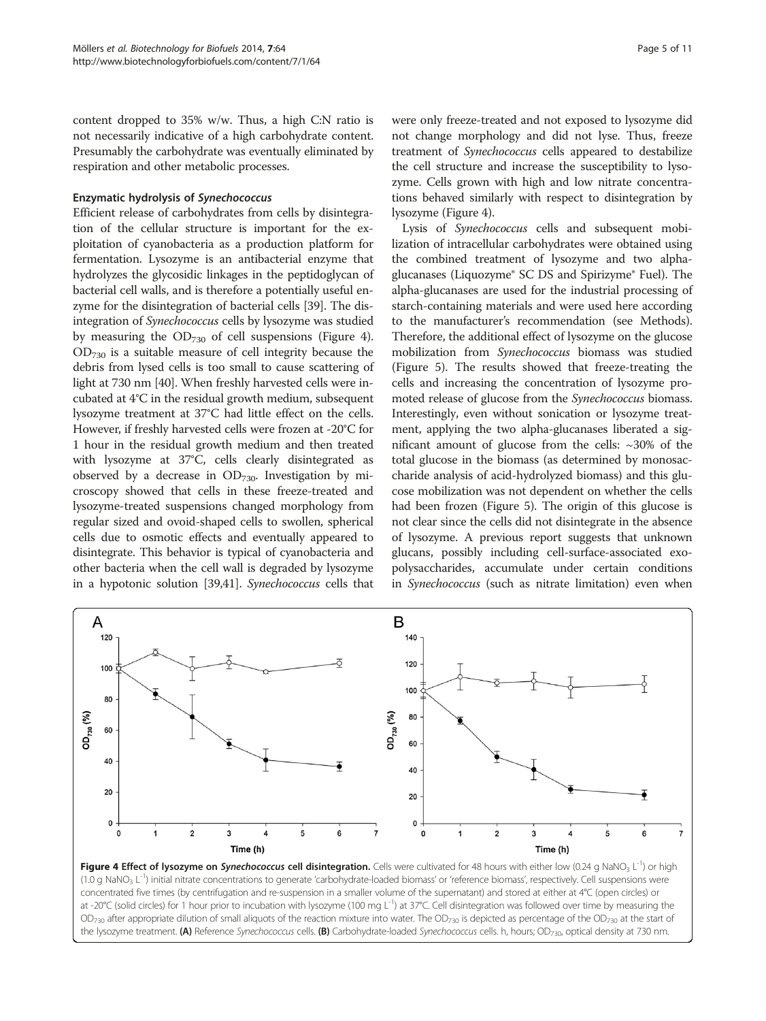<span id="page-4-0"></span>content dropped to 35% w/w. Thus, a high C:N ratio is not necessarily indicative of a high carbohydrate content. Presumably the carbohydrate was eventually eliminated by respiration and other metabolic processes.

#### Enzymatic hydrolysis of Synechococcus

Efficient release of carbohydrates from cells by disintegration of the cellular structure is important for the exploitation of cyanobacteria as a production platform for fermentation. Lysozyme is an antibacterial enzyme that hydrolyzes the glycosidic linkages in the peptidoglycan of bacterial cell walls, and is therefore a potentially useful enzyme for the disintegration of bacterial cells [\[39\]](#page-10-0). The disintegration of Synechococcus cells by lysozyme was studied by measuring the  $OD_{730}$  of cell suspensions (Figure 4).  $OD_{730}$  is a suitable measure of cell integrity because the debris from lysed cells is too small to cause scattering of light at 730 nm [\[40\]](#page-10-0). When freshly harvested cells were incubated at 4°C in the residual growth medium, subsequent lysozyme treatment at 37°C had little effect on the cells. However, if freshly harvested cells were frozen at -20°C for 1 hour in the residual growth medium and then treated with lysozyme at 37°C, cells clearly disintegrated as observed by a decrease in  $OD_{730}$ . Investigation by microscopy showed that cells in these freeze-treated and lysozyme-treated suspensions changed morphology from regular sized and ovoid-shaped cells to swollen, spherical cells due to osmotic effects and eventually appeared to disintegrate. This behavior is typical of cyanobacteria and other bacteria when the cell wall is degraded by lysozyme in a hypotonic solution [[39,41\]](#page-10-0). Synechococcus cells that

were only freeze-treated and not exposed to lysozyme did not change morphology and did not lyse. Thus, freeze treatment of Synechococcus cells appeared to destabilize the cell structure and increase the susceptibility to lysozyme. Cells grown with high and low nitrate concentrations behaved similarly with respect to disintegration by lysozyme (Figure 4).

Lysis of Synechococcus cells and subsequent mobilization of intracellular carbohydrates were obtained using the combined treatment of lysozyme and two alphaglucanases (Liquozyme® SC DS and Spirizyme® Fuel). The alpha-glucanases are used for the industrial processing of starch-containing materials and were used here according to the manufacturer's recommendation (see [Methods](#page-7-0)). Therefore, the additional effect of lysozyme on the glucose mobilization from Synechococcus biomass was studied (Figure [5](#page-5-0)). The results showed that freeze-treating the cells and increasing the concentration of lysozyme promoted release of glucose from the Synechococcus biomass. Interestingly, even without sonication or lysozyme treatment, applying the two alpha-glucanases liberated a significant amount of glucose from the cells: ~30% of the total glucose in the biomass (as determined by monosaccharide analysis of acid-hydrolyzed biomass) and this glucose mobilization was not dependent on whether the cells had been frozen (Figure [5](#page-5-0)). The origin of this glucose is not clear since the cells did not disintegrate in the absence of lysozyme. A previous report suggests that unknown glucans, possibly including cell-surface-associated exopolysaccharides, accumulate under certain conditions in Synechococcus (such as nitrate limitation) even when



Figure 4 Effect of lysozyme on Synechococcus cell disintegration. Cells were cultivated for 48 hours with either low (0.24 g NaNO<sub>3</sub> L<sup>-1</sup>) or high (1.0 g NaNO<sub>3</sub> L<sup>-1</sup>) initial nitrate concentrations to generate 'carbohydrate-loaded biomass' or 'reference biomass', respectively. Cell suspensions were concentrated five times (by centrifugation and re-suspension in a smaller volume of the supernatant) and stored at either at 4°C (open circles) or at -20℃ (solid circles) for 1 hour prior to incubation with lysozyme (100 mg L<sup>-1</sup>) at 37°C. Cell disintegration was followed over time by measuring the  $OD_{730}$  after appropriate dilution of small aliquots of the reaction mixture into water. The  $OD_{730}$  is depicted as percentage of the  $OD_{730}$  at the start of the lysozyme treatment. (A) Reference Synechococcus cells. (B) Carbohydrate-loaded Synechococcus cells. h, hours; OD<sub>730</sub>, optical density at 730 nm.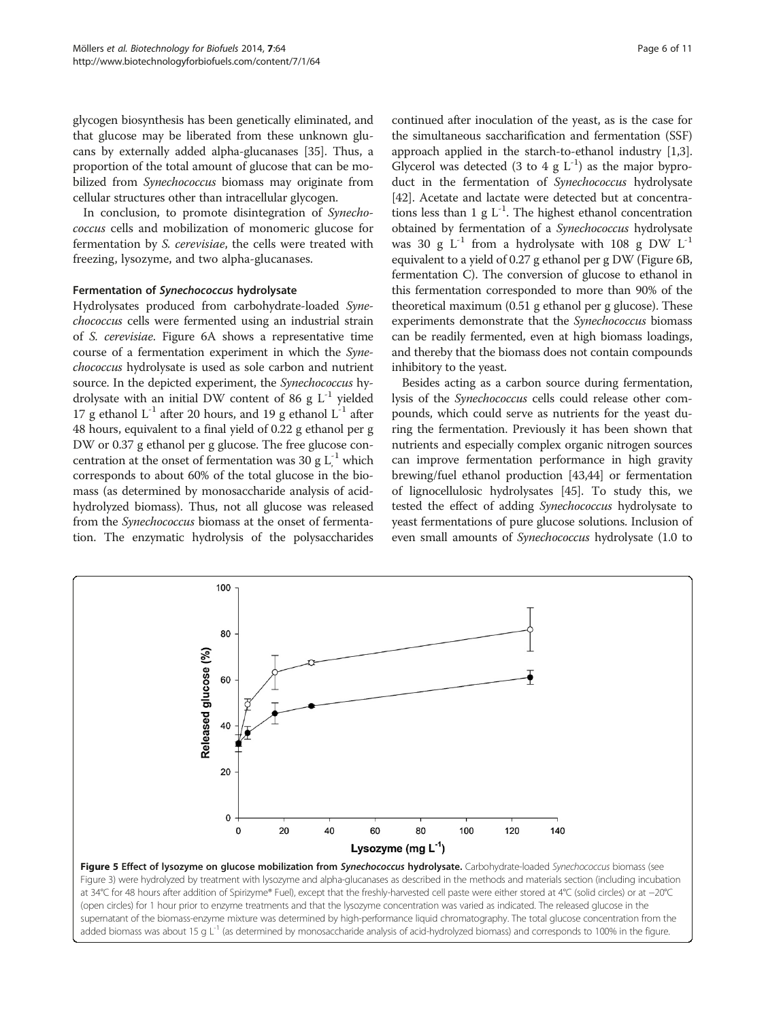<span id="page-5-0"></span>glycogen biosynthesis has been genetically eliminated, and that glucose may be liberated from these unknown glucans by externally added alpha-glucanases [[35](#page-10-0)]. Thus, a proportion of the total amount of glucose that can be mobilized from Synechococcus biomass may originate from cellular structures other than intracellular glycogen.

In conclusion, to promote disintegration of Synechococcus cells and mobilization of monomeric glucose for fermentation by S. cerevisiae, the cells were treated with freezing, lysozyme, and two alpha-glucanases.

#### Fermentation of Synechococcus hydrolysate

Hydrolysates produced from carbohydrate-loaded Synechococcus cells were fermented using an industrial strain of S. cerevisiae. Figure [6](#page-6-0)A shows a representative time course of a fermentation experiment in which the Synechococcus hydrolysate is used as sole carbon and nutrient source. In the depicted experiment, the Synechococcus hydrolysate with an initial DW content of 86 g  $L^{-1}$  yielded 17 g ethanol  $L^{-1}$  after 20 hours, and 19 g ethanol  $L^{-1}$  after 48 hours, equivalent to a final yield of 0.22 g ethanol per g DW or 0.37 g ethanol per g glucose. The free glucose concentration at the onset of fermentation was 30 g  $L<sub>i</sub><sup>-1</sup>$  which corresponds to about 60% of the total glucose in the biomass (as determined by monosaccharide analysis of acidhydrolyzed biomass). Thus, not all glucose was released from the Synechococcus biomass at the onset of fermentation. The enzymatic hydrolysis of the polysaccharides

continued after inoculation of the yeast, as is the case for the simultaneous saccharification and fermentation (SSF) approach applied in the starch-to-ethanol industry [[1](#page-9-0),[3](#page-9-0)]. Glycerol was detected (3 to 4 g  $L^{-1}$ ) as the major byproduct in the fermentation of Synechococcus hydrolysate [[42](#page-10-0)]. Acetate and lactate were detected but at concentrations less than 1 g  $L^{-1}$ . The highest ethanol concentration obtained by fermentation of a Synechococcus hydrolysate was 30 g  $L^{-1}$  from a hydrolysate with 108 g DW  $L^{-1}$ equivalent to a yield of 0.27 g ethanol per g DW (Figure [6B](#page-6-0), fermentation C). The conversion of glucose to ethanol in this fermentation corresponded to more than 90% of the theoretical maximum (0.51 g ethanol per g glucose). These experiments demonstrate that the Synechococcus biomass can be readily fermented, even at high biomass loadings, and thereby that the biomass does not contain compounds inhibitory to the yeast.

Besides acting as a carbon source during fermentation, lysis of the Synechococcus cells could release other compounds, which could serve as nutrients for the yeast during the fermentation. Previously it has been shown that nutrients and especially complex organic nitrogen sources can improve fermentation performance in high gravity brewing/fuel ethanol production [\[43,44](#page-10-0)] or fermentation of lignocellulosic hydrolysates [\[45\]](#page-10-0). To study this, we tested the effect of adding Synechococcus hydrolysate to yeast fermentations of pure glucose solutions. Inclusion of even small amounts of Synechococcus hydrolysate (1.0 to



at 34°C for 48 hours after addition of Spirizyme® Fuel), except that the freshly-harvested cell paste were either stored at 4°C (solid circles) or at −20°C (open circles) for 1 hour prior to enzyme treatments and that the lysozyme concentration was varied as indicated. The released glucose in the supernatant of the biomass-enzyme mixture was determined by high-performance liquid chromatography. The total glucose concentration from the added biomass was about 15 g  $L^{-1}$  (as determined by monosaccharide analysis of acid-hydrolyzed biomass) and corresponds to 100% in the figure.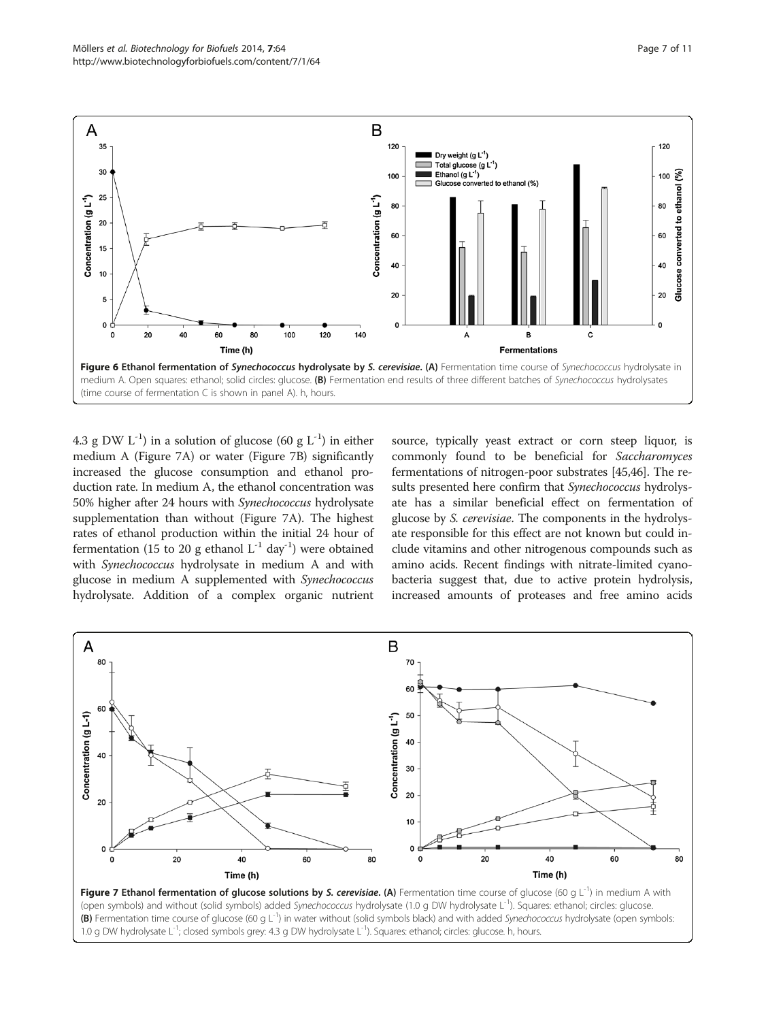<span id="page-6-0"></span>

4.3 g DW  $L^{-1}$ ) in a solution of glucose (60 g  $L^{-1}$ ) in either medium A (Figure 7A) or water (Figure 7B) significantly increased the glucose consumption and ethanol production rate. In medium A, the ethanol concentration was 50% higher after 24 hours with Synechococcus hydrolysate supplementation than without (Figure 7A). The highest rates of ethanol production within the initial 24 hour of fermentation (15 to 20 g ethanol  $L^{-1}$  day<sup>-1</sup>) were obtained with Synechococcus hydrolysate in medium A and with glucose in medium A supplemented with Synechococcus hydrolysate. Addition of a complex organic nutrient

source, typically yeast extract or corn steep liquor, is commonly found to be beneficial for Saccharomyces fermentations of nitrogen-poor substrates [[45,46](#page-10-0)]. The results presented here confirm that Synechococcus hydrolysate has a similar beneficial effect on fermentation of glucose by S. cerevisiae. The components in the hydrolysate responsible for this effect are not known but could include vitamins and other nitrogenous compounds such as amino acids. Recent findings with nitrate-limited cyanobacteria suggest that, due to active protein hydrolysis, increased amounts of proteases and free amino acids

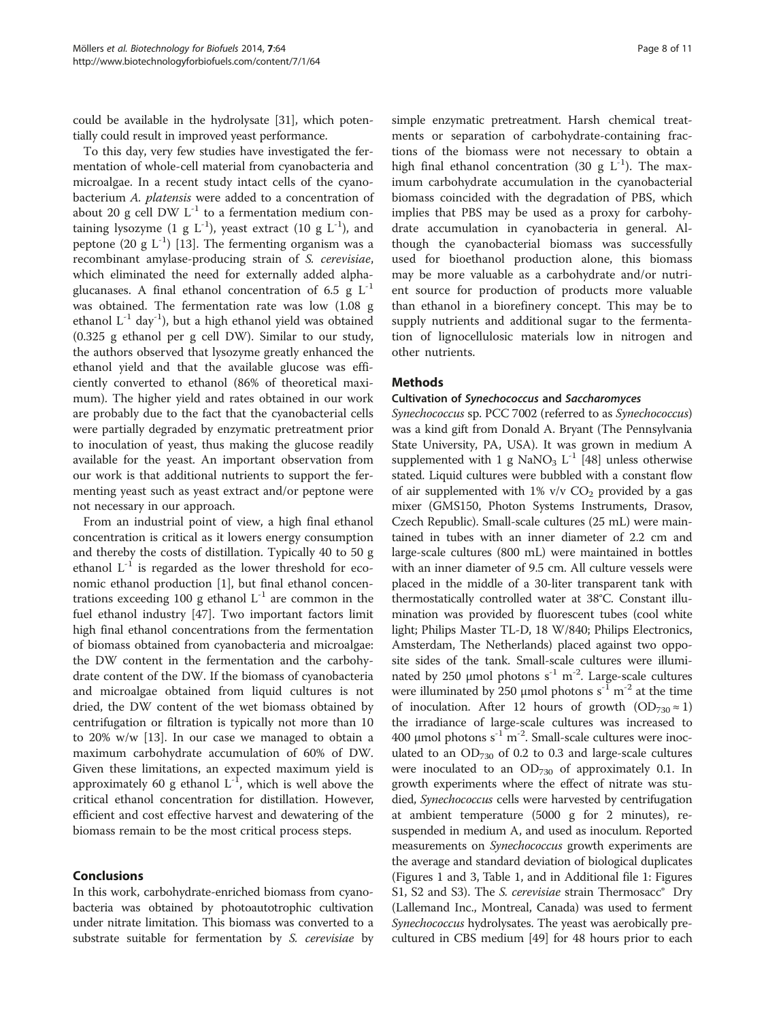<span id="page-7-0"></span>could be available in the hydrolysate [[31](#page-9-0)], which potentially could result in improved yeast performance.

To this day, very few studies have investigated the fermentation of whole-cell material from cyanobacteria and microalgae. In a recent study intact cells of the cyanobacterium A. platensis were added to a concentration of about 20 g cell DW  $L^{-1}$  to a fermentation medium containing lysozyme (1 g  $L^{-1}$ ), yeast extract (10 g  $L^{-1}$ ), and peptone (20 g  $L^{-1}$ ) [[13](#page-9-0)]. The fermenting organism was a recombinant amylase-producing strain of S. cerevisiae, which eliminated the need for externally added alphaglucanases. A final ethanol concentration of 6.5 g  $L^{-1}$ was obtained. The fermentation rate was low (1.08 g ethanol  $L^{-1}$  day<sup>-1</sup>), but a high ethanol yield was obtained (0.325 g ethanol per g cell DW). Similar to our study, the authors observed that lysozyme greatly enhanced the ethanol yield and that the available glucose was efficiently converted to ethanol (86% of theoretical maximum). The higher yield and rates obtained in our work are probably due to the fact that the cyanobacterial cells were partially degraded by enzymatic pretreatment prior to inoculation of yeast, thus making the glucose readily available for the yeast. An important observation from our work is that additional nutrients to support the fermenting yeast such as yeast extract and/or peptone were not necessary in our approach.

From an industrial point of view, a high final ethanol concentration is critical as it lowers energy consumption and thereby the costs of distillation. Typically 40 to 50 g ethanol  $L^{-1}$  is regarded as the lower threshold for economic ethanol production [[1\]](#page-9-0), but final ethanol concentrations exceeding 100 g ethanol  $L^{-1}$  are common in the fuel ethanol industry [\[47\]](#page-10-0). Two important factors limit high final ethanol concentrations from the fermentation of biomass obtained from cyanobacteria and microalgae: the DW content in the fermentation and the carbohydrate content of the DW. If the biomass of cyanobacteria and microalgae obtained from liquid cultures is not dried, the DW content of the wet biomass obtained by centrifugation or filtration is typically not more than 10 to 20% w/w [[13\]](#page-9-0). In our case we managed to obtain a maximum carbohydrate accumulation of 60% of DW. Given these limitations, an expected maximum yield is approximately 60 g ethanol  $L^{-1}$ , which is well above the critical ethanol concentration for distillation. However, efficient and cost effective harvest and dewatering of the biomass remain to be the most critical process steps.

# Conclusions

In this work, carbohydrate-enriched biomass from cyanobacteria was obtained by photoautotrophic cultivation under nitrate limitation. This biomass was converted to a substrate suitable for fermentation by S. cerevisiae by

simple enzymatic pretreatment. Harsh chemical treatments or separation of carbohydrate-containing fractions of the biomass were not necessary to obtain a high final ethanol concentration (30 g  $L^{-1}$ ). The maximum carbohydrate accumulation in the cyanobacterial biomass coincided with the degradation of PBS, which implies that PBS may be used as a proxy for carbohydrate accumulation in cyanobacteria in general. Although the cyanobacterial biomass was successfully used for bioethanol production alone, this biomass may be more valuable as a carbohydrate and/or nutrient source for production of products more valuable than ethanol in a biorefinery concept. This may be to supply nutrients and additional sugar to the fermentation of lignocellulosic materials low in nitrogen and other nutrients.

### **Methods**

#### Cultivation of Synechococcus and Saccharomyces

Synechococcus sp. PCC 7002 (referred to as Synechococcus) was a kind gift from Donald A. Bryant (The Pennsylvania State University, PA, USA). It was grown in medium A supplemented with 1 g NaNO<sub>3</sub> L<sup>-1</sup> [\[48\]](#page-10-0) unless otherwise stated. Liquid cultures were bubbled with a constant flow of air supplemented with  $1\%$  v/v CO<sub>2</sub> provided by a gas mixer (GMS150, Photon Systems Instruments, Drasov, Czech Republic). Small-scale cultures (25 mL) were maintained in tubes with an inner diameter of 2.2 cm and large-scale cultures (800 mL) were maintained in bottles with an inner diameter of 9.5 cm. All culture vessels were placed in the middle of a 30-liter transparent tank with thermostatically controlled water at 38°C. Constant illumination was provided by fluorescent tubes (cool white light; Philips Master TL-D, 18 W/840; Philips Electronics, Amsterdam, The Netherlands) placed against two opposite sides of the tank. Small-scale cultures were illuminated by 250 μmol photons  $s^{-1}$  m<sup>-2</sup>. Large-scale cultures were illuminated by 250 µmol photons  $s^{-1}$  m<sup>-2</sup> at the time of inoculation. After 12 hours of growth  $OD_{730} \approx 1$ ) the irradiance of large-scale cultures was increased to 400 μmol photons  $s^{-1}$  m<sup>-2</sup>. Small-scale cultures were inoculated to an  $OD_{730}$  of 0.2 to 0.3 and large-scale cultures were inoculated to an  $OD_{730}$  of approximately 0.1. In growth experiments where the effect of nitrate was studied, Synechococcus cells were harvested by centrifugation at ambient temperature (5000 g for 2 minutes), resuspended in medium A, and used as inoculum. Reported measurements on *Synechococcus* growth experiments are the average and standard deviation of biological duplicates (Figures [1](#page-2-0) and [3,](#page-3-0) Table [1,](#page-2-0) and in Additional file [1](#page-9-0): Figures S1, S2 and S3). The S. cerevisiae strain Thermosacc<sup>®</sup> Dry (Lallemand Inc., Montreal, Canada) was used to ferment Synechococcus hydrolysates. The yeast was aerobically precultured in CBS medium [\[49\]](#page-10-0) for 48 hours prior to each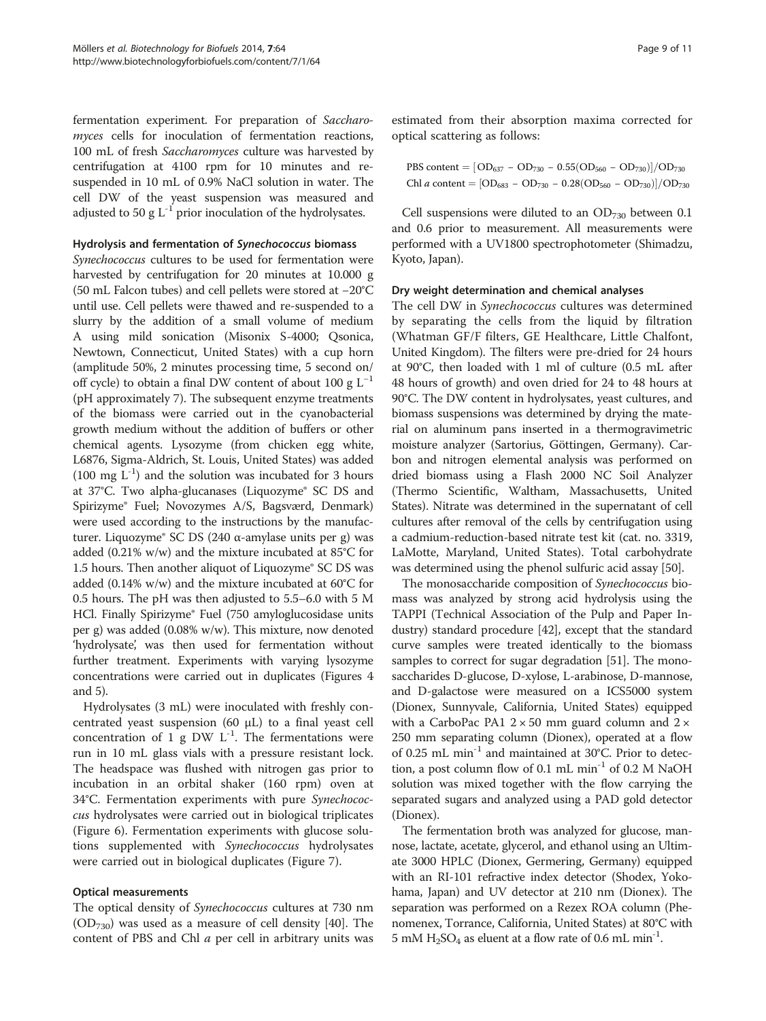fermentation experiment. For preparation of Saccharomyces cells for inoculation of fermentation reactions, 100 mL of fresh Saccharomyces culture was harvested by centrifugation at 4100 rpm for 10 minutes and resuspended in 10 mL of 0.9% NaCl solution in water. The cell DW of the yeast suspension was measured and adjusted to 50 g  $L^{-1}$  prior inoculation of the hydrolysates.

#### Hydrolysis and fermentation of Synechococcus biomass

Synechococcus cultures to be used for fermentation were harvested by centrifugation for 20 minutes at 10.000 g (50 mL Falcon tubes) and cell pellets were stored at −20°C until use. Cell pellets were thawed and re-suspended to a slurry by the addition of a small volume of medium A using mild sonication (Misonix S-4000; Qsonica, Newtown, Connecticut, United States) with a cup horn (amplitude 50%, 2 minutes processing time, 5 second on/ off cycle) to obtain a final DW content of about 100 g  $\mathrm{L}^{-1}$ (pH approximately 7). The subsequent enzyme treatments of the biomass were carried out in the cyanobacterial growth medium without the addition of buffers or other chemical agents. Lysozyme (from chicken egg white, L6876, Sigma-Aldrich, St. Louis, United States) was added  $(100 \text{ mg } L^{-1})$  and the solution was incubated for 3 hours at 37°C. Two alpha-glucanases (Liquozyme® SC DS and Spirizyme® Fuel; Novozymes A/S, Bagsværd, Denmark) were used according to the instructions by the manufacturer. Liquozyme® SC DS (240 α-amylase units per g) was added (0.21% w/w) and the mixture incubated at 85°C for 1.5 hours. Then another aliquot of Liquozyme® SC DS was added (0.14% w/w) and the mixture incubated at 60°C for 0.5 hours. The pH was then adjusted to 5.5–6.0 with 5 M HCl. Finally Spirizyme® Fuel (750 amyloglucosidase units per g) was added (0.08% w/w). This mixture, now denoted 'hydrolysate', was then used for fermentation without further treatment. Experiments with varying lysozyme concentrations were carried out in duplicates (Figures [4](#page-4-0) and [5\)](#page-5-0).

Hydrolysates (3 mL) were inoculated with freshly concentrated yeast suspension (60 μL) to a final yeast cell concentration of 1 g DW  $L^{-1}$ . The fermentations were run in 10 mL glass vials with a pressure resistant lock. The headspace was flushed with nitrogen gas prior to incubation in an orbital shaker (160 rpm) oven at 34°C. Fermentation experiments with pure Synechococcus hydrolysates were carried out in biological triplicates (Figure [6](#page-6-0)). Fermentation experiments with glucose solutions supplemented with Synechococcus hydrolysates were carried out in biological duplicates (Figure [7\)](#page-6-0).

#### Optical measurements

The optical density of Synechococcus cultures at 730 nm  $(OD_{730})$  was used as a measure of cell density [[40](#page-10-0)]. The content of PBS and Chl a per cell in arbitrary units was estimated from their absorption maxima corrected for optical scattering as follows:

$$
\begin{aligned}[t] \text{PBS content} &= [\, \text{OD}_{637} \, - \, \text{OD}_{730} \, - \, 0.55 (\text{OD}_{560} \, - \, \text{OD}_{730}) ]/\text{OD}_{730} \\ \text{Chl}\; a\; \text{content} &= [\text{OD}_{683} \, - \, \text{OD}_{730} \, - \, 0.28 (\text{OD}_{560} \, - \, \text{OD}_{730}) ]/\text{OD}_{730} \end{aligned}
$$

Cell suspensions were diluted to an  $OD_{730}$  between 0.1 and 0.6 prior to measurement. All measurements were performed with a UV1800 spectrophotometer (Shimadzu, Kyoto, Japan).

#### Dry weight determination and chemical analyses

The cell DW in Synechococcus cultures was determined by separating the cells from the liquid by filtration (Whatman GF/F filters, GE Healthcare, Little Chalfont, United Kingdom). The filters were pre-dried for 24 hours at 90°C, then loaded with 1 ml of culture (0.5 mL after 48 hours of growth) and oven dried for 24 to 48 hours at 90°C. The DW content in hydrolysates, yeast cultures, and biomass suspensions was determined by drying the material on aluminum pans inserted in a thermogravimetric moisture analyzer (Sartorius, Göttingen, Germany). Carbon and nitrogen elemental analysis was performed on dried biomass using a Flash 2000 NC Soil Analyzer (Thermo Scientific, Waltham, Massachusetts, United States). Nitrate was determined in the supernatant of cell cultures after removal of the cells by centrifugation using a cadmium-reduction-based nitrate test kit (cat. no. 3319, LaMotte, Maryland, United States). Total carbohydrate was determined using the phenol sulfuric acid assay [\[50](#page-10-0)].

The monosaccharide composition of Synechococcus biomass was analyzed by strong acid hydrolysis using the TAPPI (Technical Association of the Pulp and Paper Industry) standard procedure [\[42\]](#page-10-0), except that the standard curve samples were treated identically to the biomass samples to correct for sugar degradation [[51](#page-10-0)]. The monosaccharides D-glucose, D-xylose, L-arabinose, D-mannose, and D-galactose were measured on a ICS5000 system (Dionex, Sunnyvale, California, United States) equipped with a CarboPac PA1  $2 \times 50$  mm guard column and  $2 \times$ 250 mm separating column (Dionex), operated at a flow of 0.25 mL min-1 and maintained at 30°C. Prior to detection, a post column flow of  $0.1$  mL min<sup>-1</sup> of  $0.2$  M NaOH solution was mixed together with the flow carrying the separated sugars and analyzed using a PAD gold detector (Dionex).

The fermentation broth was analyzed for glucose, mannose, lactate, acetate, glycerol, and ethanol using an Ultimate 3000 HPLC (Dionex, Germering, Germany) equipped with an RI-101 refractive index detector (Shodex, Yokohama, Japan) and UV detector at 210 nm (Dionex). The separation was performed on a Rezex ROA column (Phenomenex, Torrance, California, United States) at 80°C with 5 mM  $H_2SO_4$  as eluent at a flow rate of 0.6 mL min<sup>-1</sup>.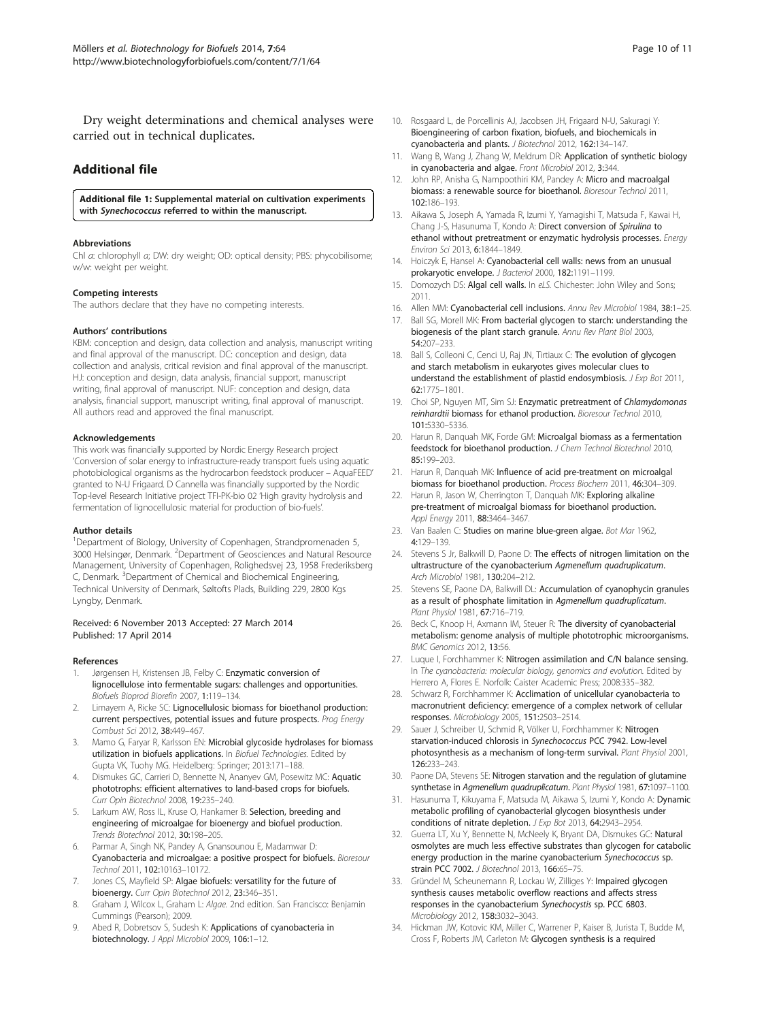<span id="page-9-0"></span>Dry weight determinations and chemical analyses were carried out in technical duplicates.

# Additional file

[Additional file 1:](http://www.biomedcentral.com/content/supplementary/1754-6834-7-64-S1.pdf) Supplemental material on cultivation experiments with Synechococcus referred to within the manuscript.

#### Abbreviations

Chl a: chlorophyll a; DW: dry weight; OD: optical density; PBS: phycobilisome; w/w: weight per weight.

#### Competing interests

The authors declare that they have no competing interests.

#### Authors' contributions

KBM: conception and design, data collection and analysis, manuscript writing and final approval of the manuscript. DC: conception and design, data collection and analysis, critical revision and final approval of the manuscript. HJ: conception and design, data analysis, financial support, manuscript writing, final approval of manuscript. NUF: conception and design, data analysis, financial support, manuscript writing, final approval of manuscript. All authors read and approved the final manuscript.

#### Acknowledgements

This work was financially supported by Nordic Energy Research project 'Conversion of solar energy to infrastructure-ready transport fuels using aquatic photobiological organisms as the hydrocarbon feedstock producer – AquaFEED' granted to N-U Frigaard. D Cannella was financially supported by the Nordic Top-level Research Initiative project TFI-PK-bio 02 'High gravity hydrolysis and fermentation of lignocellulosic material for production of bio-fuels'.

#### Author details

<sup>1</sup>Department of Biology, University of Copenhagen, Strandpromenaden 5, 3000 Helsingør, Denmark. <sup>2</sup>Department of Geosciences and Natural Resource Management, University of Copenhagen, Rolighedsvej 23, 1958 Frederiksberg C, Denmark. <sup>3</sup>Department of Chemical and Biochemical Engineering, Technical University of Denmark, Søltofts Plads, Building 229, 2800 Kgs Lyngby, Denmark.

#### Received: 6 November 2013 Accepted: 27 March 2014 Published: 17 April 2014

#### References

- Jørgensen H, Kristensen JB, Felby C: Enzymatic conversion of lignocellulose into fermentable sugars: challenges and opportunities. Biofuels Bioprod Biorefin 2007, 1:119–134.
- 2. Limayem A, Ricke SC: Lignocellulosic biomass for bioethanol production: current perspectives, potential issues and future prospects. Prog Energy Combust Sci 2012, 38:449–467.
- 3. Mamo G, Faryar R, Karlsson EN: Microbial glycoside hydrolases for biomass utilization in biofuels applications. In Biofuel Technologies. Edited by Gupta VK, Tuohy MG. Heidelberg: Springer; 2013:171–188.
- 4. Dismukes GC, Carrieri D, Bennette N, Ananyev GM, Posewitz MC: Aquatic phototrophs: efficient alternatives to land-based crops for biofuels. Curr Opin Biotechnol 2008, 19:235–240.
- 5. Larkum AW, Ross IL, Kruse O, Hankamer B: Selection, breeding and engineering of microalgae for bioenergy and biofuel production. Trends Biotechnol 2012, 30:198–205.
- 6. Parmar A, Singh NK, Pandey A, Gnansounou E, Madamwar D: Cyanobacteria and microalgae: a positive prospect for biofuels. Bioresour Technol 2011, 102:10163–10172.
- 7. Jones CS, Mayfield SP: Algae biofuels: versatility for the future of bioenergy. Curr Opin Biotechnol 2012, 23:346–351.
- Graham J, Wilcox L, Graham L: Algae. 2nd edition. San Francisco: Benjamin Cummings (Pearson); 2009.
- 9. Abed R, Dobretsov S, Sudesh K: Applications of cyanobacteria in biotechnology. J Appl Microbiol 2009, 106:1–12.
- 10. Rosgaard L, de Porcellinis AJ, Jacobsen JH, Frigaard N-U, Sakuragi Y: Bioengineering of carbon fixation, biofuels, and biochemicals in cyanobacteria and plants. J Biotechnol 2012, 162:134–147.
- 11. Wang B, Wang J, Zhang W, Meldrum DR: Application of synthetic biology in cyanobacteria and algae. Front Microbiol 2012, 3:344.
- 12. John RP, Anisha G, Nampoothiri KM, Pandey A: Micro and macroalgal biomass: a renewable source for bioethanol. Bioresour Technol 2011, 102:186–193.
- 13. Aikawa S, Joseph A, Yamada R, Izumi Y, Yamagishi T, Matsuda F, Kawai H, Chang J-S, Hasunuma T, Kondo A: Direct conversion of Spirulina to ethanol without pretreatment or enzymatic hydrolysis processes. Energy Environ Sci 2013, 6:1844–1849.
- 14. Hoiczyk E, Hansel A: Cyanobacterial cell walls: news from an unusual prokaryotic envelope. J Bacteriol 2000, 182:1191–1199.
- 15. Domozych DS: Algal cell walls. In eLS. Chichester: John Wiley and Sons; 2011.
- 16. Allen MM: Cyanobacterial cell inclusions. Annu Rev Microbiol 1984, 38:1-25.
- 17. Ball SG, Morell MK: From bacterial glycogen to starch: understanding the biogenesis of the plant starch granule. Annu Rev Plant Biol 2003, 54:207–233.
- 18. Ball S, Colleoni C, Cenci U, Raj JN, Tirtiaux C: The evolution of glycogen and starch metabolism in eukaryotes gives molecular clues to understand the establishment of plastid endosymbiosis. J Exp Bot 2011, 62:1775–1801.
- 19. Choi SP, Nguyen MT, Sim SJ: Enzymatic pretreatment of Chlamydomonas reinhardtii biomass for ethanol production. Bioresour Technol 2010, 101:5330–5336.
- 20. Harun R, Danquah MK, Forde GM: Microalgal biomass as a fermentation feedstock for bioethanol production. J Chem Technol Biotechnol 2010, 85:199–203.
- 21. Harun R, Danquah MK: Influence of acid pre-treatment on microalgal biomass for bioethanol production. Process Biochem 2011, 46:304–309.
- 22. Harun R, Jason W, Cherrington T, Danquah MK: Exploring alkaline pre-treatment of microalgal biomass for bioethanol production. Appl Energy 2011, 88:3464-3467.
- 23. Van Baalen C: Studies on marine blue-green algae. Bot Mar 1962, 4:129–139.
- 24. Stevens S Jr, Balkwill D, Paone D: The effects of nitrogen limitation on the ultrastructure of the cyanobacterium Agmenellum quadruplicatum. Arch Microbiol 1981, 130:204–212.
- 25. Stevens SE, Paone DA, Balkwill DL: Accumulation of cyanophycin granules as a result of phosphate limitation in Agmenellum quadruplicatum. Plant Physiol 1981, 67:716–719.
- 26. Beck C, Knoop H, Axmann IM, Steuer R: The diversity of cyanobacterial metabolism: genome analysis of multiple phototrophic microorganisms. BMC Genomics 2012, 13:56.
- 27. Luque I, Forchhammer K: Nitrogen assimilation and C/N balance sensing. In The cyanobacteria: molecular biology, genomics and evolution. Edited by Herrero A, Flores E. Norfolk: Caister Academic Press; 2008:335–382.
- 28. Schwarz R, Forchhammer K: Acclimation of unicellular cyanobacteria to macronutrient deficiency: emergence of a complex network of cellular responses. Microbiology 2005, 151:2503–2514.
- 29. Sauer J, Schreiber U, Schmid R, Völker U, Forchhammer K: Nitrogen starvation-induced chlorosis in Synechococcus PCC 7942. Low-level photosynthesis as a mechanism of long-term survival. Plant Physiol 2001, 126:233–243.
- 30. Paone DA, Stevens SE: Nitrogen starvation and the regulation of glutamine synthetase in Agmenellum quadruplicatum. Plant Physiol 1981, 67:1097-1100.
- 31. Hasunuma T, Kikuyama F, Matsuda M, Aikawa S, Izumi Y, Kondo A: Dynamic metabolic profiling of cyanobacterial glycogen biosynthesis under conditions of nitrate depletion. J Exp Bot 2013, 64:2943-2954.
- 32. Guerra LT, Xu Y, Bennette N, McNeely K, Bryant DA, Dismukes GC: Natural osmolytes are much less effective substrates than glycogen for catabolic energy production in the marine cyanobacterium Synechococcus sp. strain PCC 7002. J Biotechnol 2013, 166:65–75.
- 33. Gründel M, Scheunemann R, Lockau W, Zilliges Y: Impaired glycogen synthesis causes metabolic overflow reactions and affects stress responses in the cyanobacterium Synechocystis sp. PCC 6803. Microbiology 2012, 158:3032–3043.
- 34. Hickman JW, Kotovic KM, Miller C, Warrener P, Kaiser B, Jurista T, Budde M, Cross F, Roberts JM, Carleton M: Glycogen synthesis is a required